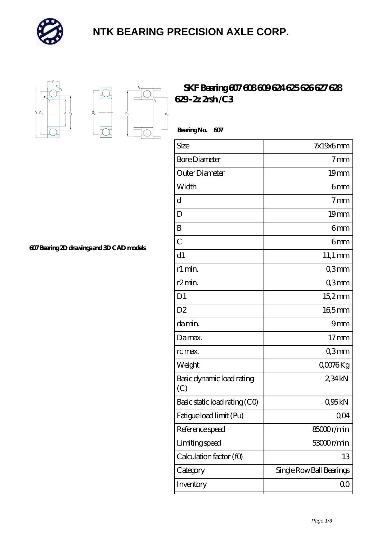

## **[NTK BEARING PRECISION AXLE CORP.](https://m.simonshaus.com)**



D.

## **[SKF Bearing 607 608 609 624 625 626 627 628](https://m.simonshaus.com/au-65282650-skf-bearing-607-608-609-624-625-626-627-628-629-2z-2rsh-c3.html) [629 -2z 2rsh /C3](https://m.simonshaus.com/au-65282650-skf-bearing-607-608-609-624-625-626-627-628-629-2z-2rsh-c3.html)**

 **Bearing No. 607** Size 7x19x6 mm Bore Diameter **1** and 2 mm Outer Diameter 19 mm Width **6 mm** d 7mm D 19 mm B 6mm  $\sim$  6 mm d1 11,1 mm r1 min. Comm r2 min. Comm D1 15,2 mm D2 165mm da min. 9mm Da max. 17 mm rc max. Q3mm Weight COO76 Kg Basic dynamic load rating (C) 2,34 kN Basic static load rating  $(CQ)$  0,95 kN Fatigue load limit (Pu) 0,04 Reference speed 85000 r/min Limiting speed 53000 r/min Calculation factor (f0) 13 Category Single Row Ball Bearings

Inventory 0.0

**[607 Bearing 2D drawings and 3D CAD models](https://m.simonshaus.com/pic-65282650.html)**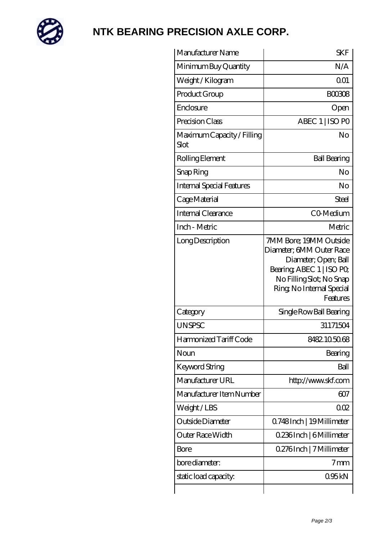

## **[NTK BEARING PRECISION AXLE CORP.](https://m.simonshaus.com)**

| Manufacturer Name                  | <b>SKF</b>                                                                                                                                                                  |
|------------------------------------|-----------------------------------------------------------------------------------------------------------------------------------------------------------------------------|
| Minimum Buy Quantity               | N/A                                                                                                                                                                         |
| Weight/Kilogram                    | 0 <sub>01</sub>                                                                                                                                                             |
| Product Group                      | <b>BOO308</b>                                                                                                                                                               |
| Enclosure                          | Open                                                                                                                                                                        |
| Precision Class                    | ABEC 1   ISO PO                                                                                                                                                             |
| Maximum Capacity / Filling<br>Slot | No                                                                                                                                                                          |
| Rolling Element                    | <b>Ball Bearing</b>                                                                                                                                                         |
| Snap Ring                          | No                                                                                                                                                                          |
| Internal Special Features          | No                                                                                                                                                                          |
| Cage Material                      | Steel                                                                                                                                                                       |
| Internal Clearance                 | CO-Medium                                                                                                                                                                   |
| Inch - Metric                      | Metric                                                                                                                                                                      |
| Long Description                   | 7MM Bore; 19MM Outside<br>Diameter; 6MM Outer Race<br>Diameter; Open; Ball<br>Bearing, ABEC 1   ISO PO<br>No Filling Slot; No Snap<br>Ring, No Internal Special<br>Features |
| Category                           | Single Row Ball Bearing                                                                                                                                                     |
| <b>UNSPSC</b>                      | 31171504                                                                                                                                                                    |
| Harmonized Tariff Code             | 8482105068                                                                                                                                                                  |
| Noun                               | Bearing                                                                                                                                                                     |
| Keyword String                     | Ball                                                                                                                                                                        |
| Manufacturer URL                   | http://www.skf.com                                                                                                                                                          |
| Manufacturer Item Number           | 607                                                                                                                                                                         |
| Weight/LBS                         | 002                                                                                                                                                                         |
| Outside Diameter                   | Q748Inch   19Millimeter                                                                                                                                                     |
| Outer Race Width                   | 0.236Inch   6Millimeter                                                                                                                                                     |
| Bore                               | 0.276Inch   7 Millimeter                                                                                                                                                    |
| bore diameter:                     | 7 <sub>mm</sub>                                                                                                                                                             |
| static load capacity:              | 095kN                                                                                                                                                                       |
|                                    |                                                                                                                                                                             |